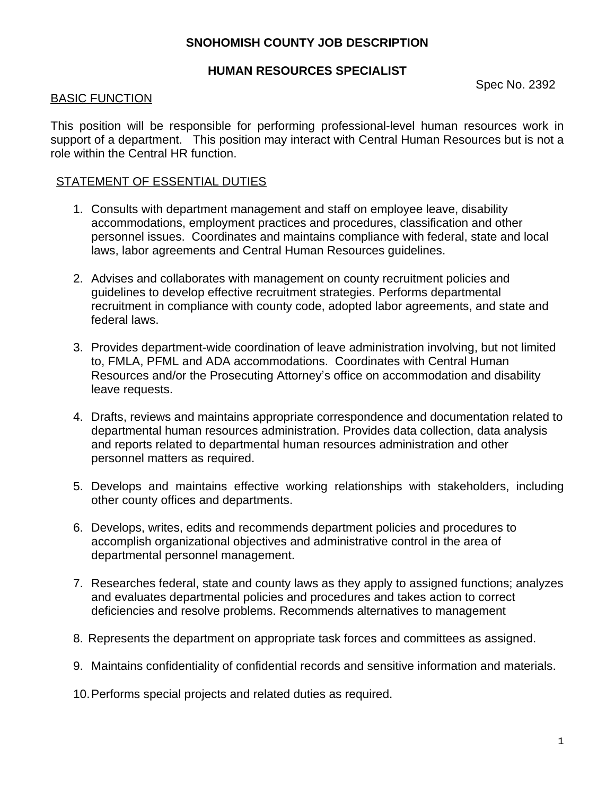# **SNOHOMISH COUNTY JOB DESCRIPTION**

#### **HUMAN RESOURCES SPECIALIST**

Spec No. 2392

## BASIC FUNCTION

This position will be responsible for performing professional-level human resources work in support of a department. This position may interact with Central Human Resources but is not a role within the Central HR function.

## STATEMENT OF ESSENTIAL DUTIES

- 1. Consults with department management and staff on employee leave, disability accommodations, employment practices and procedures, classification and other personnel issues. Coordinates and maintains compliance with federal, state and local laws, labor agreements and Central Human Resources guidelines.
- 2. Advises and collaborates with management on county recruitment policies and guidelines to develop effective recruitment strategies. Performs departmental recruitment in compliance with county code, adopted labor agreements, and state and federal laws.
- 3. Provides department-wide coordination of leave administration involving, but not limited to, FMLA, PFML and ADA accommodations. Coordinates with Central Human Resources and/or the Prosecuting Attorney's office on accommodation and disability leave requests.
- 4. Drafts, reviews and maintains appropriate correspondence and documentation related to departmental human resources administration. Provides data collection, data analysis and reports related to departmental human resources administration and other personnel matters as required.
- 5. Develops and maintains effective working relationships with stakeholders, including other county offices and departments.
- 6. Develops, writes, edits and recommends department policies and procedures to accomplish organizational objectives and administrative control in the area of departmental personnel management.
- 7. Researches federal, state and county laws as they apply to assigned functions; analyzes and evaluates departmental policies and procedures and takes action to correct deficiencies and resolve problems. Recommends alternatives to management
- 8. Represents the department on appropriate task forces and committees as assigned.
- 9. Maintains confidentiality of confidential records and sensitive information and materials.
- 10.Performs special projects and related duties as required.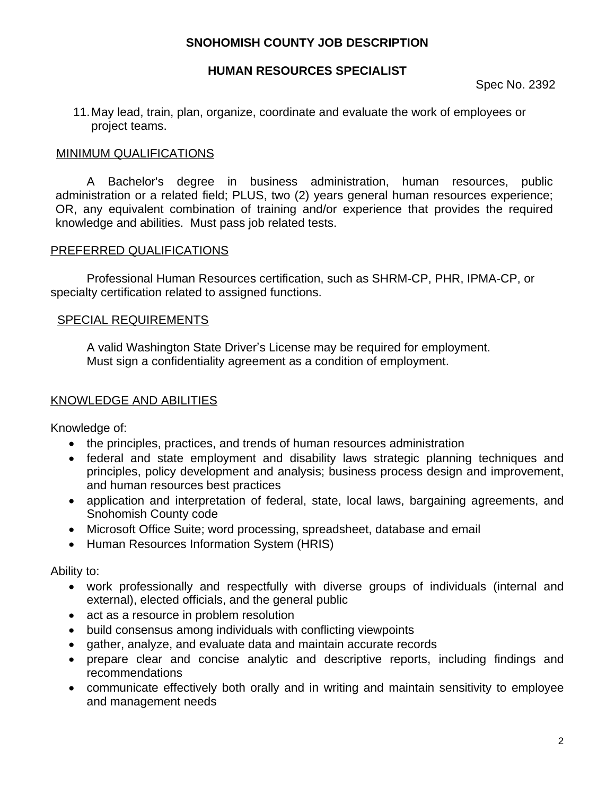# **SNOHOMISH COUNTY JOB DESCRIPTION**

### **HUMAN RESOURCES SPECIALIST**

Spec No. 2392

11.May lead, train, plan, organize, coordinate and evaluate the work of employees or project teams.

#### MINIMUM QUALIFICATIONS

A Bachelor's degree in business administration, human resources, public administration or a related field; PLUS, two (2) years general human resources experience; OR, any equivalent combination of training and/or experience that provides the required knowledge and abilities. Must pass job related tests.

### PREFERRED QUALIFICATIONS

Professional Human Resources certification, such as SHRM-CP, PHR, IPMA-CP, or specialty certification related to assigned functions.

### SPECIAL REQUIREMENTS

 A valid Washington State Driver's License may be required for employment. Must sign a confidentiality agreement as a condition of employment.

#### KNOWLEDGE AND ABILITIES

Knowledge of:

- the principles, practices, and trends of human resources administration
- federal and state employment and disability laws strategic planning techniques and principles, policy development and analysis; business process design and improvement, and human resources best practices
- application and interpretation of federal, state, local laws, bargaining agreements, and Snohomish County code
- Microsoft Office Suite; word processing, spreadsheet, database and email
- Human Resources Information System (HRIS)

Ability to:

- work professionally and respectfully with diverse groups of individuals (internal and external), elected officials, and the general public
- act as a resource in problem resolution
- build consensus among individuals with conflicting viewpoints
- gather, analyze, and evaluate data and maintain accurate records
- prepare clear and concise analytic and descriptive reports, including findings and recommendations
- communicate effectively both orally and in writing and maintain sensitivity to employee and management needs